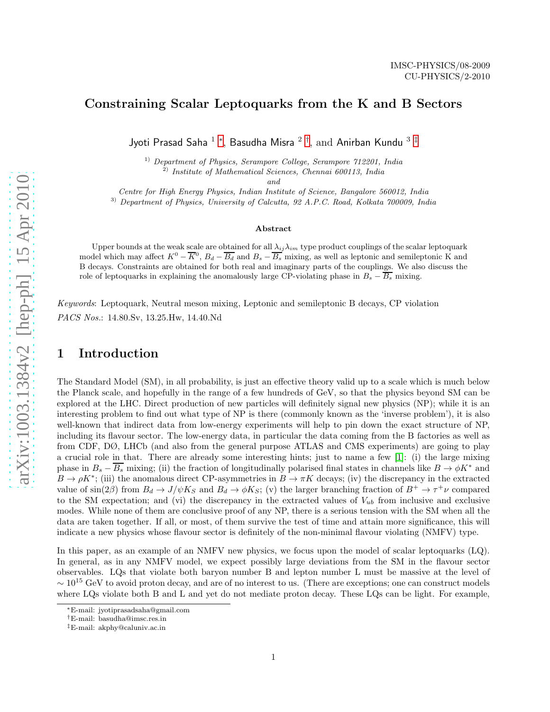## Constraining Scalar Leptoquarks from the K and B Sectors

Jyoti Prasad Saha  $^1$  \*, Basudha Misra  $^2$  <sup>[†](#page-0-1)</sup>, and Anirban Kundu  $^3$   $^\ddag$ 

 $1)$  Department of Physics, Serampore College, Serampore  $712201$ , India

 $^{2)}$  Institute of Mathematical Sciences, Chennai 600113, India

and

Centre for High Energy Physics, Indian Institute of Science, Bangalore 560012, India

<sup>3)</sup> Department of Physics, University of Calcutta, 92 A.P.C. Road, Kolkata 700009, India

#### Abstract

Upper bounds at the weak scale are obtained for all  $\lambda_{ij}\lambda_{im}$  type product couplings of the scalar leptoquark model which may affect  $K^0 - \overline{K}^0$ ,  $B_d - \overline{B_d}$  and  $B_s - \overline{B_s}$  mixing, as well as leptonic and semileptonic K and B decays. Constraints are obtained for both real and imaginary parts of the couplings. We also discuss the role of leptoquarks in explaining the anomalously large CP-violating phase in  $B_s - \overline{B_s}$  mixing.

Keywords: Leptoquark, Neutral meson mixing, Leptonic and semileptonic B decays, CP violation PACS Nos.: 14.80.Sv, 13.25.Hw, 14.40.Nd

# 1 Introduction

The Standard Model (SM), in all probability, is just an effective theory valid up to a scale which is much below the Planck scale, and hopefully in the range of a few hundreds of GeV, so that the physics beyond SM can be explored at the LHC. Direct production of new particles will definitely signal new physics (NP); while it is an interesting problem to find out what type of NP is there (commonly known as the 'inverse problem'), it is also well-known that indirect data from low-energy experiments will help to pin down the exact structure of NP, including its flavour sector. The low-energy data, in particular the data coming from the B factories as well as from CDF, DØ, LHCb (and also from the general purpose ATLAS and CMS experiments) are going to play a crucial role in that. There are already some interesting hints; just to name a few [\[1\]](#page-14-0): (i) the large mixing phase in  $B_s - B_s$  mixing; (ii) the fraction of longitudinally polarised final states in channels like  $B \to \phi K^*$  and  $B \to \rho K^*$ ; (iii) the anomalous direct CP-asymmetries in  $B \to \pi K$  decays; (iv) the discrepancy in the extracted value of  $\sin(2\beta)$  from  $B_d \to J/\psi K_S$  and  $B_d \to \phi K_S$ ; (v) the larger branching fraction of  $B^+ \to \tau^+\nu$  compared to the SM expectation; and (vi) the discrepancy in the extracted values of  $V_{ub}$  from inclusive and exclusive modes. While none of them are conclusive proof of any NP, there is a serious tension with the SM when all the data are taken together. If all, or most, of them survive the test of time and attain more significance, this will indicate a new physics whose flavour sector is definitely of the non-minimal flavour violating (NMFV) type.

In this paper, as an example of an NMFV new physics, we focus upon the model of scalar leptoquarks (LQ). In general, as in any NMFV model, we expect possibly large deviations from the SM in the flavour sector observables. LQs that violate both baryon number B and lepton number L must be massive at the level of  $\sim 10^{15}$  GeV to avoid proton decay, and are of no interest to us. (There are exceptions; one can construct models where LQs violate both B and L and yet do not mediate proton decay. These LQs can be light. For example,

<sup>∗</sup>E-mail: jyotiprasadsaha@gmail.com

<span id="page-0-0"></span><sup>†</sup>E-mail: basudha@imsc.res.in

<span id="page-0-2"></span><span id="page-0-1"></span><sup>‡</sup>E-mail: akphy@caluniv.ac.in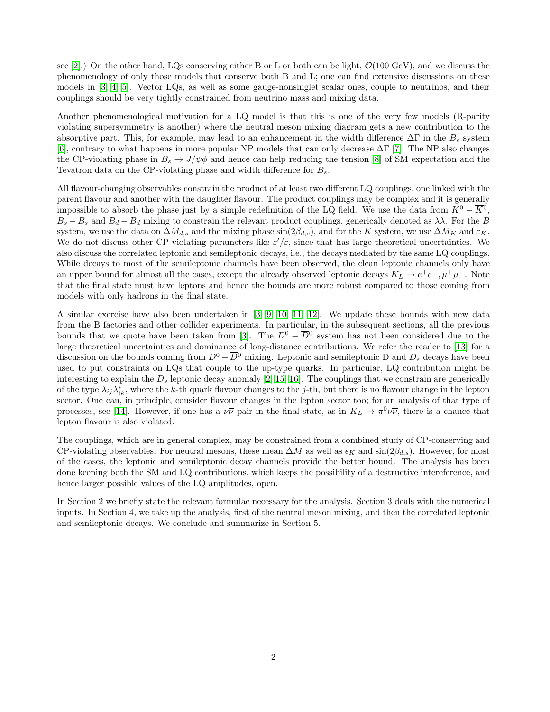see [\[2\]](#page-14-1).) On the other hand, LQs conserving either B or L or both can be light,  $\mathcal{O}(100 \text{ GeV})$ , and we discuss the phenomenology of only those models that conserve both B and L; one can find extensive discussions on these models in [\[3,](#page-14-2) [4,](#page-14-3) [5\]](#page-14-4). Vector LQs, as well as some gauge-nonsinglet scalar ones, couple to neutrinos, and their couplings should be very tightly constrained from neutrino mass and mixing data.

Another phenomenological motivation for a LQ model is that this is one of the very few models (R-parity violating supersymmetry is another) where the neutral meson mixing diagram gets a new contribution to the absorptive part. This, for example, may lead to an enhancement in the width difference  $\Delta\Gamma$  in the  $B_s$  system [\[6\]](#page-14-5), contrary to what happens in more popular NP models that can only decrease  $\Delta\Gamma$  [\[7\]](#page-14-6). The NP also changes the CP-violating phase in  $B_s \to J/\psi \phi$  and hence can help reducing the tension [\[8\]](#page-14-7) of SM expectation and the Tevatron data on the CP-violating phase and width difference for  $B_s$ .

All flavour-changing observables constrain the product of at least two different LQ couplings, one linked with the parent flavour and another with the daughter flavour. The product couplings may be complex and it is generally impossible to absorb the phase just by a simple redefinition of the LQ field. We use the data from  $K^0 - \overline{K^0}$ ,  $B_s - B_s$  and  $B_d - \overline{B_d}$  mixing to constrain the relevant product couplings, generically denoted as  $\lambda\lambda$ . For the B system, we use the data on  $\Delta M_{d,s}$  and the mixing phase sin(2 $\beta_{d,s}$ ), and for the K system, we use  $\Delta M_K$  and  $\varepsilon_K$ . We do not discuss other CP violating parameters like  $\varepsilon'/\varepsilon$ , since that has large theoretical uncertainties. We also discuss the correlated leptonic and semileptonic decays, i.e., the decays mediated by the same LQ couplings. While decays to most of the semileptonic channels have been observed, the clean leptonic channels only have an upper bound for almost all the cases, except the already observed leptonic decays  $K_L \to e^+e^-, \mu^+\mu^-$ . Note that the final state must have leptons and hence the bounds are more robust compared to those coming from models with only hadrons in the final state.

A similar exercise have also been undertaken in [\[3,](#page-14-2) [9,](#page-14-8) [10,](#page-14-9) [11,](#page-14-10) [12\]](#page-14-11). We update these bounds with new data from the B factories and other collider experiments. In particular, in the subsequent sections, all the previous bounds that we quote have been taken from [\[3\]](#page-14-2). The  $D^0 - \overline{D}{}^0$  system has not been considered due to the large theoretical uncertainties and dominance of long-distance contributions. We refer the reader to [\[13\]](#page-14-12) for a discussion on the bounds coming from  $D^0 - \overline{D}{}^0$  mixing. Leptonic and semileptonic D and  $D_s$  decays have been used to put constraints on LQs that couple to the up-type quarks. In particular, LQ contribution might be interesting to explain the  $D_s$  leptonic decay anomaly [\[2,](#page-14-1) [15,](#page-14-13) [16\]](#page-14-14). The couplings that we constrain are generically of the type  $\lambda_{ij}\lambda_{ik}^*$ , where the k-th quark flavour changes to the j-th, but there is no flavour change in the lepton sector. One can, in principle, consider flavour changes in the lepton sector too; for an analysis of that type of processes, see [\[14\]](#page-14-15). However, if one has a  $\nu\overline{\nu}$  pair in the final state, as in  $K_L \to \pi^0 \nu\overline{\nu}$ , there is a chance that lepton flavour is also violated.

The couplings, which are in general complex, may be constrained from a combined study of CP-conserving and CP-violating observables. For neutral mesons, these mean  $\Delta M$  as well as  $\epsilon_K$  and  $\sin(2\beta_{d,s})$ . However, for most of the cases, the leptonic and semileptonic decay channels provide the better bound. The analysis has been done keeping both the SM and LQ contributions, which keeps the possibility of a destructive intereference, and hence larger possible values of the LQ amplitudes, open.

In Section 2 we briefly state the relevant formulae necessary for the analysis. Section 3 deals with the numerical inputs. In Section 4, we take up the analysis, first of the neutral meson mixing, and then the correlated leptonic and semileptonic decays. We conclude and summarize in Section 5.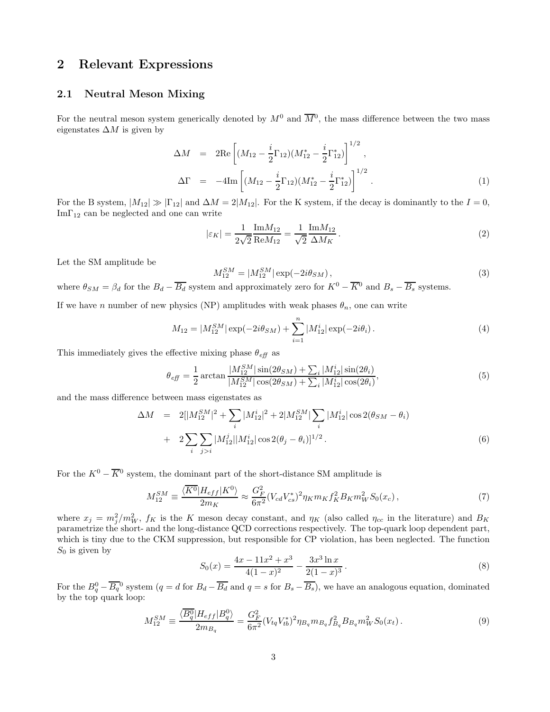# 2 Relevant Expressions

### 2.1 Neutral Meson Mixing

For the neutral meson system generically denoted by  $M^0$  and  $\overline{M}{}^0$ , the mass difference between the two mass eigenstates  $\Delta M$  is given by

$$
\Delta M = 2\text{Re}\left[ (M_{12} - \frac{i}{2}\Gamma_{12})(M_{12}^* - \frac{i}{2}\Gamma_{12}^*) \right]^{1/2},
$$
  
\n
$$
\Delta \Gamma = -4\text{Im}\left[ (M_{12} - \frac{i}{2}\Gamma_{12})(M_{12}^* - \frac{i}{2}\Gamma_{12}^*) \right]^{1/2}.
$$
\n(1)

For the B system,  $|M_{12}| \gg |\Gamma_{12}|$  and  $\Delta M = 2|M_{12}|$ . For the K system, if the decay is dominantly to the  $I = 0$ ,  $Im\Gamma_{12}$  can be neglected and one can write

$$
|\varepsilon_K| = \frac{1}{2\sqrt{2}} \frac{\text{Im} M_{12}}{\text{Re} M_{12}} = \frac{1}{\sqrt{2}} \frac{\text{Im} M_{12}}{\Delta M_K}.
$$
 (2)

Let the SM amplitude be

$$
M_{12}^{SM} = |M_{12}^{SM}| \exp(-2i\theta_{SM}), \qquad (3)
$$

where  $\theta_{SM} = \beta_d$  for the  $B_d - \overline{B_d}$  system and approximately zero for  $K^0 - \overline{K^0}$  and  $B_s - \overline{B_s}$  systems.

If we have n number of new physics (NP) amplitudes with weak phases  $\theta_n$ , one can write

$$
M_{12} = |M_{12}^{SM}| \exp(-2i\theta_{SM}) + \sum_{i=1}^{n} |M_{12}^{i}| \exp(-2i\theta_{i}). \tag{4}
$$

This immediately gives the effective mixing phase  $\theta_{\text{eff}}$  as

$$
\theta_{\text{eff}} = \frac{1}{2} \arctan \frac{|M_{12}^{SM}| \sin(2\theta_{SM}) + \sum_{i} |M_{12}^{i}| \sin(2\theta_{i})}{|M_{12}^{SM}| \cos(2\theta_{SM}) + \sum_{i} |M_{12}^{i}| \cos(2\theta_{i})},\tag{5}
$$

and the mass difference between mass eigenstates as

$$
\Delta M = 2[|M_{12}^{SM}|^2 + \sum_{i} |M_{12}^{i}|^2 + 2|M_{12}^{SM}| \sum_{i} |M_{12}^{i}| \cos 2(\theta_{SM} - \theta_{i})
$$
  
+ 
$$
2 \sum_{i} \sum_{j>i} |M_{12}^{j}| |M_{12}^{i}| \cos 2(\theta_{j} - \theta_{i})]^{1/2}.
$$
 (6)

For the  $K^0 - \overline{K}^0$  system, the dominant part of the short-distance SM amplitude is

$$
M_{12}^{SM} \equiv \frac{\langle \overline{K^0} | H_{eff} | K^0 \rangle}{2m_K} \approx \frac{G_F^2}{6\pi^2} (V_{cd} V_{cs}^*)^2 \eta_K m_K f_K^2 B_K m_W^2 S_0(x_c) \,, \tag{7}
$$

where  $x_j = m_j^2/m_W^2$ ,  $f_K$  is the K meson decay constant, and  $\eta_K$  (also called  $\eta_{cc}$  in the literature) and  $B_K$ parametrize the short- and the long-distance QCD corrections respectively. The top-quark loop dependent part, which is tiny due to the CKM suppression, but responsible for CP violation, has been neglected. The function  $S_0$  is given by

$$
S_0(x) = \frac{4x - 11x^2 + x^3}{4(1 - x)^2} - \frac{3x^3 \ln x}{2(1 - x)^3}.
$$
 (8)

For the  $B_q^0 - \overline{B_q}^0$  system  $(q = d \text{ for } B_d - \overline{B_d} \text{ and } q = s \text{ for } B_s - \overline{B_s}$ , we have an analogous equation, dominated by the top quark loop:

$$
M_{12}^{SM} \equiv \frac{\langle \overline{B_q^0} | H_{eff} | B_q^0 \rangle}{2m_{B_q}} = \frac{G_F^2}{6\pi^2} (V_{tq} V_{tb}^*)^2 \eta_{B_q} m_{B_q} f_{B_q}^2 B_{B_q} m_W^2 S_0(x_t) \,. \tag{9}
$$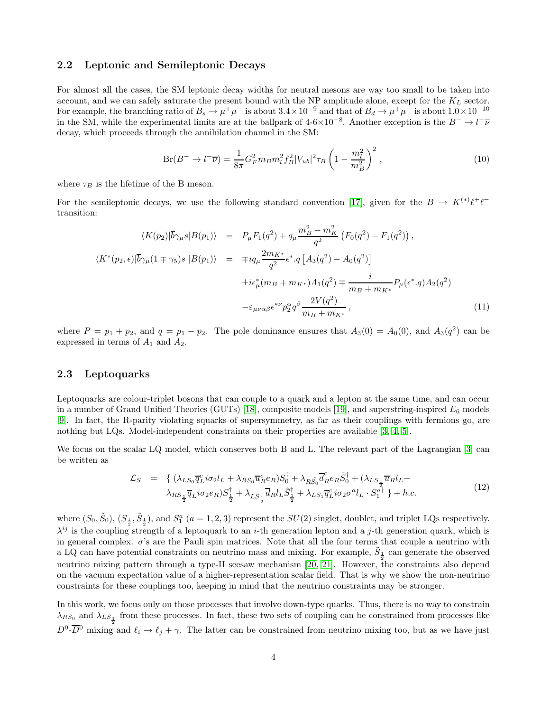#### 2.2 Leptonic and Semileptonic Decays

For almost all the cases, the SM leptonic decay widths for neutral mesons are way too small to be taken into account, and we can safely saturate the present bound with the NP amplitude alone, except for the  $K_L$  sector. For example, the branching ratio of  $B_s \to \mu^+\mu^-$  is about  $3.4 \times 10^{-9}$  and that of  $B_d \to \mu^+\mu^-$  is about  $1.0 \times 10^{-10}$ in the SM, while the experimental limits are at the ballpark of  $4-6\times10^{-8}$ . Another exception is the  $B^- \to l^-\overline{\nu}$ decay, which proceeds through the annihilation channel in the SM:

<span id="page-3-1"></span>
$$
Br(B^{-} \to l^{-} \overline{\nu}) = \frac{1}{8\pi} G_F^2 m_B m_l^2 f_B^2 |V_{ub}|^2 \tau_B \left(1 - \frac{m_l^2}{m_B^2}\right)^2 ,\qquad (10)
$$

where  $\tau_B$  is the lifetime of the B meson.

For the semileptonic decays, we use the following standard convention [\[17\]](#page-14-16), given for the  $B \to K^{(*)} \ell^+ \ell^$ transition:

$$
\langle K(p_2)|\overline{b}\gamma_\mu s|B(p_1)\rangle = P_\mu F_1(q^2) + q_\mu \frac{m_B^2 - m_K^2}{q^2} \left( F_0(q^2) - F_1(q^2) \right),
$$
  

$$
\langle K^*(p_2, \epsilon)|\overline{b}\gamma_\mu (1 \mp \gamma_5)s |B(p_1)\rangle = \mp i q_\mu \frac{2m_{K^*}}{q^2} \epsilon^* \cdot q \left[ A_3(q^2) - A_0(q^2) \right]
$$
  

$$
\pm i \epsilon_\mu^*(m_B + m_{K^*}) A_1(q^2) \mp \frac{i}{m_B + m_{K^*}} P_\mu(\epsilon^* \cdot q) A_2(q^2)
$$
  

$$
-\epsilon_{\mu\nu\alpha\beta} \epsilon^{*\nu} p_2^{\alpha} q^{\beta} \frac{2V(q^2)}{m_B + m_{K^*}}, \tag{11}
$$

where  $P = p_1 + p_2$ , and  $q = p_1 - p_2$ . The pole dominance ensures that  $A_3(0) = A_0(0)$ , and  $A_3(q^2)$  can be expressed in terms of  $A_1$  and  $A_2$ .

#### 2.3 Leptoquarks

Leptoquarks are colour-triplet bosons that can couple to a quark and a lepton at the same time, and can occur in a number of Grand Unified Theories (GUTs) [\[18\]](#page-14-17), composite models [\[19\]](#page-14-18), and superstring-inspired  $E_6$  models [\[9\]](#page-14-8). In fact, the R-parity violating squarks of supersymmetry, as far as their couplings with fermions go, are nothing but LQs. Model-independent constraints on their properties are available [\[3,](#page-14-2) [4,](#page-14-3) [5\]](#page-14-4).

We focus on the scalar LQ model, which conserves both B and L. The relevant part of the Lagrangian [\[3\]](#page-14-2) can be written as

<span id="page-3-0"></span>
$$
\mathcal{L}_S = \left\{ (\lambda_{LS_0} \overline{q}_L^c i \sigma_2 l_L + \lambda_{RS_0} \overline{u}_R^c e_R) S_0^\dagger + \lambda_{R\tilde{S}_0} \overline{d}_R^c e_R \tilde{S}_0^\dagger + (\lambda_{LS_1} \overline{u}_R l_L + \lambda_{RS_1} \overline{q}_L^c i \sigma_2 e_R) S_1^\dagger + \lambda_{LS_1} \overline{d}_R^c l_L \tilde{S}_1^\dagger + \lambda_{LS_1} \overline{q}_L^c i \sigma_2 \sigma^a l_L \cdot S_1^{a\dagger} \right\} + h.c.
$$
\n
$$
(12)
$$

where  $(S_0, \tilde{S}_0), (S_{\frac{1}{2}}, \tilde{S}_{\frac{1}{2}})$ , and  $S_1^a$   $(a = 1, 2, 3)$  represent the  $SU(2)$  singlet, doublet, and triplet LQs respectively.  $\lambda^{ij}$  is the coupling strength of a leptoquark to an *i*-th generation lepton and a *j*-th generation quark, which is in general complex. σ's are the Pauli spin matrices. Note that all the four terms that couple a neutrino with a LQ can have potential constraints on neutrino mass and mixing. For example,  $\tilde{S}_\frac{1}{2}$  can generate the observed neutrino mixing pattern through a type-II seesaw mechanism [\[20,](#page-14-19) [21\]](#page-14-20). However, the constraints also depend on the vacuum expectation value of a higher-representation scalar field. That is why we show the non-neutrino constraints for these couplings too, keeping in mind that the neutrino constraints may be stronger.

In this work, we focus only on those processes that involve down-type quarks. Thus, there is no way to constrain  $\lambda_{RS_0}$  and  $\lambda_{LS_{\frac{1}{2}}}$  from these processes. In fact, these two sets of coupling can be constrained from processes like  $D^0$ - $\overline{D}{}^0$  mixing and  $\ell_i \to \ell_j + \gamma$ . The latter can be constrained from neutrino mixing too, but as we have just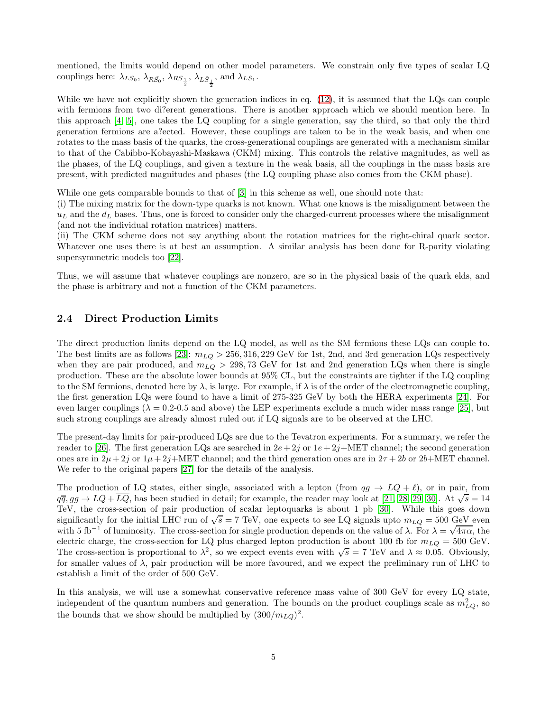mentioned, the limits would depend on other model parameters. We constrain only five types of scalar LQ couplings here:  $\lambda_{LS_0}$ ,  $\lambda_{R\bar{S_0}}$ ,  $\lambda_{RS_{\frac{1}{2}}}$ ,  $\lambda_{L\tilde{S}_{\frac{1}{2}}}$ , and  $\lambda_{LS_1}$ .

While we have not explicitly shown the generation indices in eq. [\(12\)](#page-3-0), it is assumed that the LQs can couple with fermions from two di?erent generations. There is another approach which we should mention here. In this approach [\[4,](#page-14-3) [5\]](#page-14-4), one takes the LQ coupling for a single generation, say the third, so that only the third generation fermions are a?ected. However, these couplings are taken to be in the weak basis, and when one rotates to the mass basis of the quarks, the cross-generational couplings are generated with a mechanism similar to that of the Cabibbo-Kobayashi-Maskawa (CKM) mixing. This controls the relative magnitudes, as well as the phases, of the LQ couplings, and given a texture in the weak basis, all the couplings in the mass basis are present, with predicted magnitudes and phases (the LQ coupling phase also comes from the CKM phase).

While one gets comparable bounds to that of [\[3\]](#page-14-2) in this scheme as well, one should note that:

(i) The mixing matrix for the down-type quarks is not known. What one knows is the misalignment between the  $u<sub>L</sub>$  and the  $d<sub>L</sub>$  bases. Thus, one is forced to consider only the charged-current processes where the misalignment (and not the individual rotation matrices) matters.

(ii) The CKM scheme does not say anything about the rotation matrices for the right-chiral quark sector. Whatever one uses there is at best an assumption. A similar analysis has been done for R-parity violating supersymmetric models too [\[22\]](#page-14-21).

Thus, we will assume that whatever couplings are nonzero, are so in the physical basis of the quark elds, and the phase is arbitrary and not a function of the CKM parameters.

### 2.4 Direct Production Limits

The direct production limits depend on the LQ model, as well as the SM fermions these LQs can couple to. The best limits are as follows [\[23\]](#page-14-22):  $m_{LQ} > 256, 316, 229 \text{ GeV}$  for 1st, 2nd, and 3rd generation LQs respectively when they are pair produced, and  $m_{LQ} > 298, 73$  GeV for 1st and 2nd generation LQs when there is single production. These are the absolute lower bounds at 95% CL, but the constraints are tighter if the LQ coupling to the SM fermions, denoted here by  $\lambda$ , is large. For example, if  $\lambda$  is of the order of the electromagnetic coupling, the first generation LQs were found to have a limit of 275-325 GeV by both the HERA experiments [\[24\]](#page-14-23). For even larger couplings ( $\lambda = 0.2$ -0.5 and above) the LEP experiments exclude a much wider mass range [\[25\]](#page-14-24), but such strong couplings are already almost ruled out if LQ signals are to be observed at the LHC.

The present-day limits for pair-produced LQs are due to the Tevatron experiments. For a summary, we refer the reader to [\[26\]](#page-14-25). The first generation LQs are searched in  $2e+2j$  or  $1e+2j+MET$  channel; the second generation ones are in  $2\mu + 2j$  or  $1\mu + 2j$ +MET channel; and the third generation ones are in  $2\tau + 2b$  or  $2b$ +MET channel. We refer to the original papers [\[27\]](#page-15-0) for the details of the analysis.

The production of LQ states, either single, associated with a lepton (from  $qg \to LQ + \ell$ ), or in pair, from  $q\overline{q}, gg \to LQ + \overline{LQ}$ , has been studied in detail; for example, the reader may look at [\[21,](#page-14-20) [28,](#page-15-1) [29,](#page-15-2) [30\]](#page-15-3). At  $\sqrt{s} = 14$ TeV, the cross-section of pair production of scalar leptoquarks is about 1 pb [\[30\]](#page-15-3). While this goes down significantly for the initial LHC run of  $\sqrt{s} = 7$  TeV, one expects to see LQ signals upto  $m_{LQ} = 500$  GeV even with 5 fb<sup>-1</sup> of luminosity. The cross-section for single production depends on the value of  $\lambda$ . For  $\lambda = \sqrt{4\pi\alpha}$ , the electric charge, the cross-section for LQ plus charged lepton production is about 100 fb for  $m_{LQ} = 500$  GeV. The cross-section is proportional to  $\lambda^2$ , so we expect events even with  $\sqrt{s} = 7$  TeV and  $\lambda \approx 0.05$ . Obviously, for smaller values of  $\lambda$ , pair production will be more favoured, and we expect the preliminary run of LHC to establish a limit of the order of 500 GeV.

In this analysis, we will use a somewhat conservative reference mass value of 300 GeV for every LQ state, independent of the quantum numbers and generation. The bounds on the product couplings scale as  $m_{LQ}^2$ , so the bounds that we show should be multiplied by  $(300/m_{LQ})^2$ .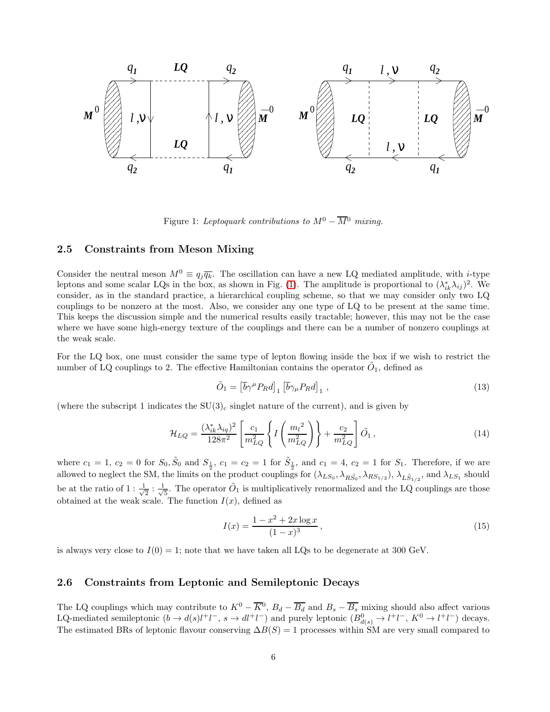

<span id="page-5-0"></span>Figure 1: Leptoquark contributions to  $M^0 - \overline{M}{}^0$  mixing.

### <span id="page-5-1"></span>2.5 Constraints from Meson Mixing

Consider the neutral meson  $M^0 \equiv q_j \overline{q_k}$ . The oscillation can have a new LQ mediated amplitude, with *i*-type leptons and some scalar LQs in the box, as shown in Fig. [\(1\)](#page-5-0). The amplitude is proportional to  $(\lambda_{ik}^*\lambda_{ij})^2$ . We consider, as in the standard practice, a hierarchical coupling scheme, so that we may consider only two LQ couplings to be nonzero at the most. Also, we consider any one type of LQ to be present at the same time. This keeps the discussion simple and the numerical results easily tractable; however, this may not be the case where we have some high-energy texture of the couplings and there can be a number of nonzero couplings at the weak scale.

For the LQ box, one must consider the same type of lepton flowing inside the box if we wish to restrict the number of LQ couplings to 2. The effective Hamiltonian contains the operator  $\tilde{O}_1$ , defined as

$$
\tilde{O}_1 = \left[\overline{b}\gamma^\mu P_R d\right]_1 \left[\overline{b}\gamma_\mu P_R d\right]_1,\tag{13}
$$

(where the subscript 1 indicates the  $SU(3)_c$  singlet nature of the current), and is given by

$$
\mathcal{H}_{LQ} = \frac{(\lambda_{ik}^* \lambda_{iq})^2}{128\pi^2} \left[ \frac{c_1}{m_{LQ}^2} \left\{ I \left( \frac{m_l^2}{m_{LQ}^2} \right) \right\} + \frac{c_2}{m_{LQ}^2} \right] \tilde{O}_1 , \qquad (14)
$$

where  $c_1 = 1, c_2 = 0$  for  $S_0, \tilde{S}_0$  and  $S_{\frac{1}{2}}, c_1 = c_2 = 1$  for  $\tilde{S}_{\frac{1}{2}},$  and  $c_1 = 4, c_2 = 1$  for  $S_1$ . Therefore, if we are allowed to neglect the SM, the limits on the product couplings for  $(\lambda_{LS_0}, \lambda_{RS_0}, \lambda_{RS_{1/2}}), \lambda_{L\tilde{S}_{1/2}},$  and  $\lambda_{LS_1}$  should be at the ratio of  $1:\frac{1}{\sqrt{2}}$  $\frac{1}{2}$  :  $\frac{1}{\sqrt{2}}$  $\frac{1}{5}$ . The operator  $\tilde{O}_1$  is multiplicatively renormalized and the LQ couplings are those obtained at the weak scale. The function  $I(x)$ , defined as

$$
I(x) = \frac{1 - x^2 + 2x \log x}{(1 - x)^3},
$$
\n(15)

is always very close to  $I(0) = 1$ ; note that we have taken all LQs to be degenerate at 300 GeV.

#### 2.6 Constraints from Leptonic and Semileptonic Decays

The LQ couplings which may contribute to  $K^0 - \overline{K}^0$ ,  $B_d - \overline{B_d}$  and  $B_s - \overline{B_s}$  mixing should also affect various LQ-mediated semileptonic  $(b \to d(s)l^+l^-$ ,  $s \to dl^+l^-$ ) and purely leptonic  $(B_{d(s)}^0 \to l^+l^-$ ,  $K^0 \to l^+l^-$ ) decays. The estimated BRs of leptonic flavour conserving  $\Delta B(S) = 1$  processes within SM are very small compared to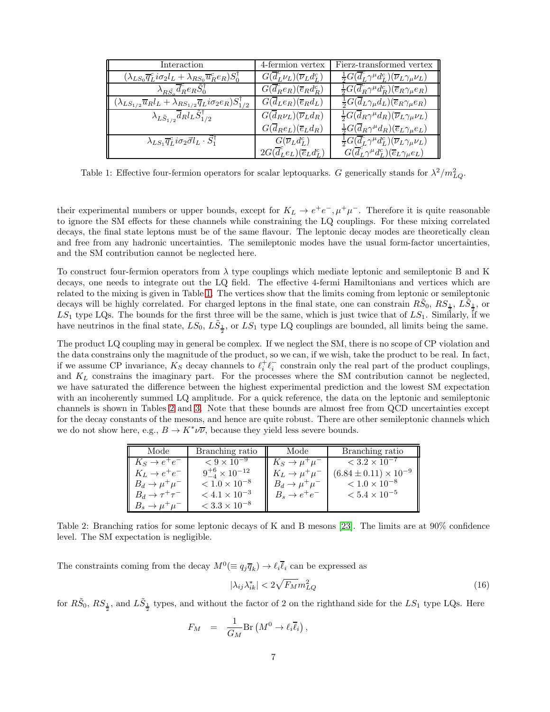| Interaction                                                                                                       | 4-fermion vertex                                              | Fierz-transformed vertex                                                                         |
|-------------------------------------------------------------------------------------------------------------------|---------------------------------------------------------------|--------------------------------------------------------------------------------------------------|
| $(\lambda_{LS_0}\overline{q}_L^c i\sigma_2 l_L + \lambda_{RS_0}\overline{u}_R^c e_R)S_0^{\dagger}$                | $G(\overline{d}_{L}^{c}\nu_{L})(\overline{\nu}_{L}d_{L}^{c})$ | $\frac{1}{2}G(\overline{d}_{L}^{c}\gamma^{\mu}d_{L}^{c})(\overline{\nu}_{L}\gamma_{\mu}\nu_{L})$ |
| $\lambda_{R}\tilde{S}_{\perp} \overline{d}_{R}^{c}e_{R}\tilde{S}_{0}^{\dagger}$                                   | $G(\overline{d}_R^c e_R)(\overline{e}_R d_R^c)$               | $\frac{1}{2}G(\overline{d}_R^c\gamma^{\mu}d_R^c)(\overline{e}_R\gamma_{\mu}e_R)$                 |
| $(\lambda_{LS_{1/2}}\overline{u}_{R}l_{L} + \lambda_{RS_{1/2}}\overline{q}_{L}i\sigma_{2}e_{R})S_{1/2}^{\dagger}$ | $G(\overline{d}_L e_R)(\overline{e}_R d_L)$                   | $\frac{1}{2}G(\overline{d}_{L}\gamma_{\mu}d_{L})(\overline{e}_{R}\gamma_{\mu}e_{R})$             |
| $\lambda_{L\tilde{S}_{1/2}}\overline{d}_{R}l_{L}\tilde{S}_{1/2}^{\dagger}$                                        | $G(\overline{d}_R\nu_L)(\overline{\nu}_L d_R)$                | $\frac{1}{2}G(\overline{d}_R\gamma^{\mu}d_R)(\overline{\nu}_L\gamma_{\mu}\nu_L)$                 |
|                                                                                                                   | $G(\overline{d}_Re_L)(\overline{e}_Ld_R)$                     | $\frac{1}{2}G(\overline{d}_R\gamma^{\mu}d_R)(\overline{e}_L\gamma_{\mu}e_L)$                     |
| $\lambda_{LS_1}\overline{q}_L^c i\sigma_2\vec{\sigma}l_L\cdot\vec{S}_1^\dagger$                                   | $G(\overline{\nu}_L d_L^c)$                                   | $\frac{1}{2}G(\overline{d}_{L}^{c}\gamma^{\mu}d_{L}^{c})(\overline{\nu}_{L}\gamma_{\mu}\nu_{L})$ |
|                                                                                                                   | $2G(\overline{d}_{L}^{c}e_{L})(\overline{e}_{L}d_{L}^{c})$    | $G(\overline{d}_{L}^{c}\gamma^{\mu}d_{L}^{c})(\overline{e}_{L}\gamma_{\mu}e_{L})$                |

<span id="page-6-0"></span>Table 1: Effective four-fermion operators for scalar leptoquarks. G generically stands for  $\lambda^2/m_{LQ}^2$ .

their experimental numbers or upper bounds, except for  $K_L \to e^+e^-$ ,  $\mu^+\mu^-$ . Therefore it is quite reasonable to ignore the SM effects for these channels while constraining the LQ couplings. For these mixing correlated decays, the final state leptons must be of the same flavour. The leptonic decay modes are theoretically clean and free from any hadronic uncertainties. The semileptonic modes have the usual form-factor uncertainties, and the SM contribution cannot be neglected here.

To construct four-fermion operators from  $\lambda$  type couplings which mediate leptonic and semileptonic B and K decays, one needs to integrate out the LQ field. The effective 4-fermi Hamiltonians and vertices which are related to the mixing is given in Table [1.](#page-6-0) The vertices show that the limits coming from leptonic or semileptonic decays will be highly correlated. For charged leptons in the final state, one can constrain  $R\tilde{S}_0$ ,  $RS_{\frac{1}{2}}$ ,  $L\tilde{S}_{\frac{1}{2}}$ , or  $LS_1$  type LQs. The bounds for the first three will be the same, which is just twice that of  $LS_1$ . Similarly, if we have neutrinos in the final state,  $LS_0$ ,  $L\tilde{S}_\frac{1}{2}$ , or  $LS_1$  type LQ couplings are bounded, all limits being the same.

The product LQ coupling may in general be complex. If we neglect the SM, there is no scope of CP violation and the data constrains only the magnitude of the product, so we can, if we wish, take the product to be real. In fact, if we assume CP invariance,  $K_S$  decay channels to  $\ell_i^+\ell_i^-$  constrain only the real part of the product couplings, and  $K_L$  constrains the imaginary part. For the processes where the SM contribution cannot be neglected, we have saturated the difference between the highest experimental prediction and the lowest SM expectation with an incoherently summed LQ amplitude. For a quick reference, the data on the leptonic and semileptonic channels is shown in Tables [2](#page-6-1) and [3.](#page-7-0) Note that these bounds are almost free from QCD uncertainties except for the decay constants of the mesons, and hence are quite robust. There are other semileptonic channels which we do not show here, e.g.,  $B \to K^* \nu \overline{\nu}$ , because they yield less severe bounds.

| Mode                                                                             | Branching ratio                  |
|----------------------------------------------------------------------------------|----------------------------------|
| Branching ratio                                                                  | Mode                             |
| $< 9 \times 10^{-9}$                                                             | $< 3.2 \times 10^{-7}$           |
| $K_S \rightarrow e^+e^-$                                                         | $K_S \rightarrow \mu^+\mu^-$     |
| $9^{+6}_{-4} \times 10^{-12}$                                                    | $(6.84 \pm 0.11) \times 10^{-9}$ |
| $K_L \rightarrow e^+e^-$                                                         | $K_L \rightarrow \mu^+ \mu^-$    |
| $< 1.0 \times 10^{-8}$                                                           | $< 1.0 \times 10^{-8}$           |
| $B_d \to \mu^+\mu^-$                                                             | $B_d \rightarrow \mu^+\mu^-$     |
| $< 4.1 \times 10^{-3}$                                                           | $< 5.4 \times 10^{-5}$           |
| $B_d \rightarrow \tau^+\tau^-$<br>$< 3.3 \times 10^{-8}$<br>$B_s \to \mu^+\mu^-$ | $B_s \rightarrow e^+e^-$         |

<span id="page-6-1"></span>Table 2: Branching ratios for some leptonic decays of K and B mesons [\[23\]](#page-14-22). The limits are at 90% confidence level. The SM expectation is negligible.

The constraints coming from the decay  $M^0 (\equiv q_j \overline{q}_k) \to \ell_i \overline{\ell}_i$  can be expressed as

$$
|\lambda_{ij}\lambda_{ik}^*| < 2\sqrt{F_M}m_{LQ}^2\tag{16}
$$

for  $R\tilde{S}_0$ ,  $RS_{\frac{1}{2}}$ , and  $L\tilde{S}_{\frac{1}{2}}$  types, and without the factor of 2 on the righthand side for the  $LS_1$  type LQs. Here

$$
F_M = \frac{1}{G_M} \text{Br}\left(M^0 \to \ell_i \overline{\ell}_i\right),
$$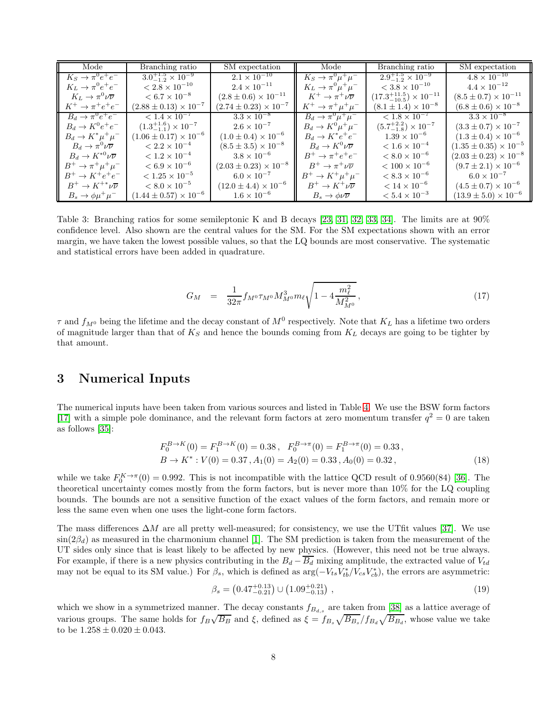| Mode                                       | Branching ratio                      | SM expectation                   | Mode                                | Branching ratio                          | SM expectation                   |
|--------------------------------------------|--------------------------------------|----------------------------------|-------------------------------------|------------------------------------------|----------------------------------|
| $K_S \rightarrow \pi^0 e^+ e^-$            | $3.0^{+1.5}_{-1.2}\times10^{-9}$     | $2.1 \times 10^{-10}$            | $K_S \rightarrow \pi^0 \mu^+ \mu^-$ | $2.9^{+1.5}_{-1.2}\times10^{-9}$         | $4.8 \times 10^{-10}$            |
| $K_L \rightarrow \pi^0 e^+ e^-$            | $< 2.8 \times 10^{-10}$              | $2.4 \times 10^{-11}$            | $K_L \rightarrow \pi^0 \mu^+ \mu^-$ | $< 3.8 \times 10^{-10}$                  | $4.4 \times 10^{-12}$            |
| $K_L \rightarrow \pi^0 \nu \overline{\nu}$ | $< 6.7 \times 10^{-8}$               | $(2.8 \pm 0.6) \times 10^{-11}$  | $K^+\to\pi^+\nu\overline{\nu}$      | $(17.3^{+11.5}_{-10.5}) \times 10^{-11}$ | $(8.5 \pm 0.7) \times 10^{-11}$  |
| $K^+ \rightarrow \pi^+ e^+ e^-$            | $(2.88 \pm 0.13) \times 10^{-7}$     | $(2.74 \pm 0.23) \times 10^{-7}$ | $K^+ \to \pi^+ \mu^+ \mu^-$         | $(8.1 \pm 1.4) \times 10^{-8}$           | $(6.8 \pm 0.6) \times 10^{-8}$   |
| $B_d \rightarrow \pi^0 e^+ e^-$            | $< 1.4 \times 10^{-7}$               | $3.3 \times 10^{-8}$             | $B_d \rightarrow \pi^0 \mu^+ \mu^-$ | $\sqrt{1.8 \times 10^{-7}}$              | $3.3 \times 10^{-8}$             |
| $B_d \rightarrow K^0 e^+ e^-$              | $(1.3^{+1.6}_{-1.1}) \times 10^{-7}$ | $2.6 \times 10^{-7}$             | $B_d \rightarrow K^0 \mu^+ \mu^-$   | $(5.7^{+2.2}_{-1.8}) \times 10^{-7}$     | $(3.3 \pm 0.7) \times 10^{-7}$   |
| $B_d \to K^* \mu^+ \mu^-$                  | $(1.06 \pm 0.17) \times 10^{-6}$     | $(1.0 \pm 0.4) \times 10^{-6}$   | $B_d \rightarrow K^* e^+ e^-$       | $1.39 \times 10^{-6}$                    | $(1.3 \pm 0.4) \times 10^{-6}$   |
| $B_d\to\pi^0\nu\overline{\nu}$             | $< 2.2 \times 10^{-4}$               | $(8.5 \pm 3.5) \times 10^{-8}$   | $B_d \to K^0 \nu \overline{\nu}$    | $< 1.6 \times 10^{-4}$                   | $(1.35 \pm 0.35) \times 10^{-5}$ |
| $B_d \to K^{*0} \nu \overline{\nu}$        | $< 1.2 \times 10^{-4}$               | $3.8 \times 10^{-6}$             | $B^+ \to \pi^+ e^+ e^-$             | $< 8.0 \times 10^{-6}$                   | $(2.03 \pm 0.23) \times 10^{-8}$ |
| $B^{+} \to \pi^{+} \mu^{+} \mu^{-}$        | $< 6.9 \times 10^{-6}$               | $(2.03 \pm 0.23) \times 10^{-8}$ | $B^+\to\pi^+\nu\overline{\nu}$      | $< 100 \times 10^{-6}$                   | $(9.7 \pm 2.1) \times 10^{-6}$   |
| $B^+ \to K^+ e^+ e^-$                      | $< 1.25 \times 10^{-5}$              | $6.0 \times 10^{-7}$             | $B^{+} \to K^{+} \mu^{+} \mu^{-}$   | $< 8.3 \times 10^{-6}$                   | $6.0 \times 10^{-7}$             |
| $B^+\to K^{+*}\nu\overline{\nu}$           | $< 8.0 \times 10^{-5}$               | $(12.0 \pm 4.4) \times 10^{-6}$  | $B^+\to K^+\nu\overline{\nu}$       | $< 14 \times 10^{-6}$                    | $(4.5 \pm 0.7) \times 10^{-6}$   |
| $B_s \to \phi \mu^+ \mu^-$                 | $(1.44 \pm 0.57) \times 10^{-6}$     | $1.6 \times 10^{-6}$             | $B_s \to \phi \nu \overline{\nu}$   | $< 5.4 \times 10^{-3}$                   | $(13.9 \pm 5.0) \times 10^{-6}$  |

<span id="page-7-0"></span>Table 3: Branching ratios for some semileptonic K and B decays [\[23,](#page-14-22) [31,](#page-15-4) [32,](#page-15-5) [33,](#page-15-6) [34\]](#page-15-7). The limits are at 90% confidence level. Also shown are the central values for the SM. For the SM expectations shown with an error margin, we have taken the lowest possible values, so that the LQ bounds are most conservative. The systematic and statistical errors have been added in quadrature.

$$
G_M = \frac{1}{32\pi} f_{M^0} \tau_{M^0} M_{M^0}^3 m_\ell \sqrt{1 - 4 \frac{m_\ell^2}{M_{M^0}^2}}, \tag{17}
$$

 $\tau$  and  $f_{M^0}$  being the lifetime and the decay constant of  $M^0$  respectively. Note that  $K_L$  has a lifetime two orders of magnitude larger than that of  $K_S$  and hence the bounds coming from  $K_L$  decays are going to be tighter by that amount.

## 3 Numerical Inputs

The numerical inputs have been taken from various sources and listed in Table [4.](#page-8-0) We use the BSW form factors [\[17\]](#page-14-16) with a simple pole dominance, and the relevant form factors at zero momentum transfer  $q^2 = 0$  are taken as follows [\[35\]](#page-15-8):

$$
F_0^{B \to K}(0) = F_1^{B \to K}(0) = 0.38, \quad F_0^{B \to \pi}(0) = F_1^{B \to \pi}(0) = 0.33,
$$
  
\n
$$
B \to K^* : V(0) = 0.37, A_1(0) = A_2(0) = 0.33, A_0(0) = 0.32,
$$
\n(18)

while we take  $F_0^{K\to\pi}(0) = 0.992$ . This is not incompatible with the lattice QCD result of 0.9560(84) [\[36\]](#page-15-9). The theoretical uncertainty comes mostly from the form factors, but is never more than 10% for the LQ coupling bounds. The bounds are not a sensitive function of the exact values of the form factors, and remain more or less the same even when one uses the light-cone form factors.

The mass differences  $\Delta M$  are all pretty well-measured; for consistency, we use the UTfit values [\[37\]](#page-15-10). We use  $\sin(2\beta_d)$  as measured in the charmonium channel [\[1\]](#page-14-0). The SM prediction is taken from the measurement of the UT sides only since that is least likely to be affected by new physics. (However, this need not be true always. For example, if there is a new physics contributing in the  $B_d - \overline{B_d}$  mixing amplitude, the extracted value of  $V_{td}$ may not be equal to its SM value.) For  $\beta_s$ , which is defined as  $\arg(-V_{ts}V_{tb}^*/V_{cs}V_{cb}^*)$ , the errors are asymmetric:

$$
\beta_s = \left(0.47_{-0.21}^{+0.13}\right) \cup \left(1.09_{-0.13}^{+0.21}\right) ,\tag{19}
$$

which we show in a symmetrized manner. The decay constants  $f_{B_{d,s}}$  are taken from [\[38\]](#page-15-11) as a lattice average of various groups. The same holds for  $f_B\sqrt{B_B}$  and  $\xi$ , defined as  $\xi = f_{B_s}\sqrt{B_{B_s}}/f_{B_d}\sqrt{B_{B_d}}$ , whose value we take to be  $1.258 \pm 0.020 \pm 0.043$ .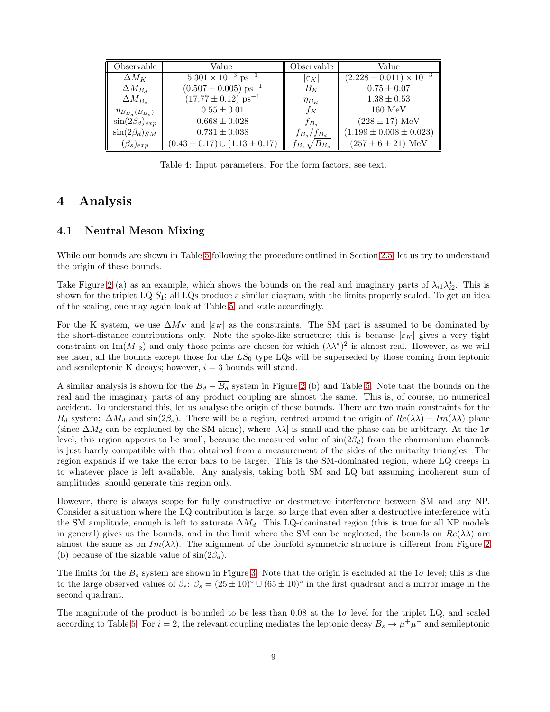| Observable                | Value                                   | Observable               | Value                              |
|---------------------------|-----------------------------------------|--------------------------|------------------------------------|
| $\Delta M_K$              | $5.301 \times 10^{-3}$ ps <sup>-3</sup> | $ \varepsilon_K $        | $(2.228 \pm 0.011) \times 10^{-3}$ |
| $\Delta M_{B_d}$          | $(0.507 \pm 0.005)$ ps <sup>-1</sup>    | $B_K$                    | $0.75 \pm 0.07$                    |
| $\Delta M_{B_s}$          | $(17.77 \pm 0.12) \text{ ps}^{-1}$      | $\eta_{B_K}$             | $1.38 \pm 0.53$                    |
| $\eta_{B_{B_d}(B_{B_s})}$ | $0.55 \pm 0.01$                         | $f_K$                    | $160 \text{ MeV}$                  |
| $\sin(2\beta_d)_{exp}$    | $0.668 \pm 0.028$                       | $f_{B_s}$                | $(228 \pm 17)$ MeV                 |
| $\sin(2\beta_d)_{SM}$     | $0.731 \pm 0.038$                       | $f_{B_s}/f_{B_d}$        | $(1.199 \pm 0.008 \pm 0.023)$      |
| $(\beta_s)_{exp}$         | $(0.43 \pm 0.17) \cup (1.13 \pm 0.17)$  | $B_{B_s}$<br>${^rB_s}$ : | $(257 \pm 6 \pm 21)$ MeV           |

<span id="page-8-0"></span>Table 4: Input parameters. For the form factors, see text.

### 4 Analysis

### 4.1 Neutral Meson Mixing

While our bounds are shown in Table [5](#page-9-0) following the procedure outlined in Section [2.5,](#page-5-1) let us try to understand the origin of these bounds.

Take Figure [2](#page-9-1) (a) as an example, which shows the bounds on the real and imaginary parts of  $\lambda_{i1}\lambda_{i2}^*$ . This is shown for the triplet  $LQ S<sub>1</sub>$ ; all  $LQ<sub>S</sub>$  produce a similar diagram, with the limits properly scaled. To get an idea of the scaling, one may again look at Table [5,](#page-9-0) and scale accordingly.

For the K system, we use  $\Delta M_K$  and  $|\varepsilon_K|$  as the constraints. The SM part is assumed to be dominated by the short-distance contributions only. Note the spoke-like structure; this is because  $|\varepsilon_K|$  gives a very tight constraint on Im( $M_{12}$ ) and only those points are chosen for which  $(\lambda \lambda^*)^2$  is almost real. However, as we will see later, all the bounds except those for the  $LS_0$  type LQs will be superseded by those coming from leptonic and semileptonic K decays; however,  $i = 3$  bounds will stand.

A similar analysis is shown for the  $B_d - \overline{B_d}$  system in Figure [2](#page-9-1) (b) and Table [5.](#page-9-0) Note that the bounds on the real and the imaginary parts of any product coupling are almost the same. This is, of course, no numerical accident. To understand this, let us analyse the origin of these bounds. There are two main constraints for the  $B_d$  system:  $\Delta M_d$  and sin(2 $\beta_d$ ). There will be a region, centred around the origin of  $Re(\lambda\lambda) - Im(\lambda\lambda)$  plane (since  $\Delta M_d$  can be explained by the SM alone), where  $|\lambda\lambda|$  is small and the phase can be arbitrary. At the 1 $\sigma$ level, this region appears to be small, because the measured value of  $\sin(2\beta_d)$  from the charmonium channels is just barely compatible with that obtained from a measurement of the sides of the unitarity triangles. The region expands if we take the error bars to be larger. This is the SM-dominated region, where LQ creeps in to whatever place is left available. Any analysis, taking both SM and LQ but assuming incoherent sum of amplitudes, should generate this region only.

However, there is always scope for fully constructive or destructive interference between SM and any NP. Consider a situation where the LQ contribution is large, so large that even after a destructive interference with the SM amplitude, enough is left to saturate  $\Delta M_d$ . This LQ-dominated region (this is true for all NP models in general) gives us the bounds, and in the limit where the SM can be neglected, the bounds on  $Re(\lambda\lambda)$  are almost the same as on  $Im(\lambda\lambda)$ . The alignment of the fourfold symmetric structure is different from Figure [2](#page-9-1) (b) because of the sizable value of  $\sin(2\beta_d)$ .

The limits for the  $B_s$  system are shown in Figure [3.](#page-10-0) Note that the origin is excluded at the  $1\sigma$  level; this is due to the large observed values of  $\beta_s$ :  $\beta_s = (25 \pm 10)^\circ \cup (65 \pm 10)^\circ$  in the first quadrant and a mirror image in the second quadrant.

The magnitude of the product is bounded to be less than 0.08 at the  $1\sigma$  level for the triplet LQ, and scaled according to Table [5.](#page-9-0) For  $i = 2$ , the relevant coupling mediates the leptonic decay  $B_s \to \mu^+ \mu^-$  and semileptonic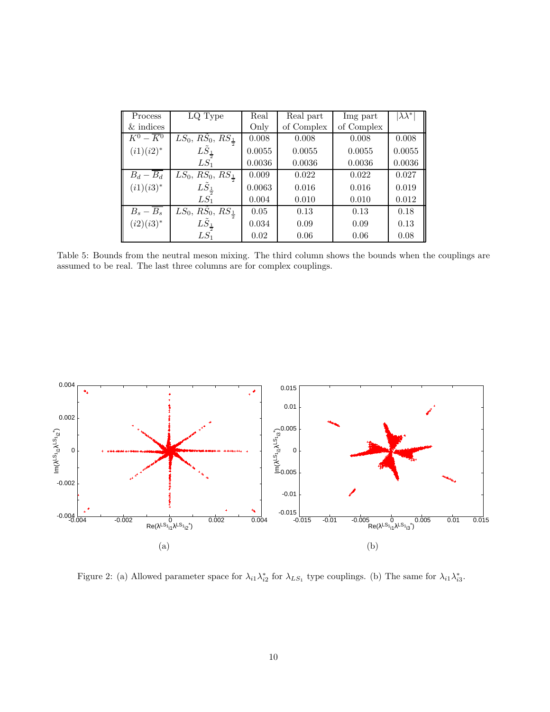| Process                | LQ Type                              | Real   | Real part  | Img part   | $\lambda\lambda^*$ |
|------------------------|--------------------------------------|--------|------------|------------|--------------------|
| $&$ indices            |                                      | Only   | of Complex | of Complex |                    |
| $K^0 - \overline{K^0}$ | $LS_0, RS_0, RS_{\frac{1}{2}}$       | 0.008  | 0.008      | 0.008      | 0.008              |
| $(i1)(i2)^*$           | $LS_1$                               | 0.0055 | 0.0055     | 0.0055     | 0.0055             |
|                        | $LS_1$                               | 0.0036 | 0.0036     | 0.0036     | 0.0036             |
| $B_d - B_d$            | $LS_0, R\dot{S}_0, RS_{\frac{1}{2}}$ | 0.009  | 0.022      | 0.022      | 0.027              |
| $(i1)(i3)^{*}$         | $L\overline{S}_1$                    | 0.0063 | 0.016      | 0.016      | 0.019              |
|                        | $LS_1$                               | 0.004  | 0.010      | 0.010      | 0.012              |
| $B_s - \overline{B_s}$ | $LS_0, RS_0, RS_{\frac{1}{2}}$       | 0.05   | 0.13       | 0.13       | 0.18               |
| $(i2)(i3)^*$           | $L\ddot{S}_{\frac{1}{2}}$            | 0.034  | 0.09       | 0.09       | 0.13               |
|                        | $LS_1$                               | 0.02   | 0.06       | 0.06       | 0.08               |

<span id="page-9-0"></span>Table 5: Bounds from the neutral meson mixing. The third column shows the bounds when the couplings are assumed to be real. The last three columns are for complex couplings.



<span id="page-9-1"></span>Figure 2: (a) Allowed parameter space for  $\lambda_{i1}\lambda_{i2}^*$  for  $\lambda_{LS_1}$  type couplings. (b) The same for  $\lambda_{i1}\lambda_{i3}^*$ .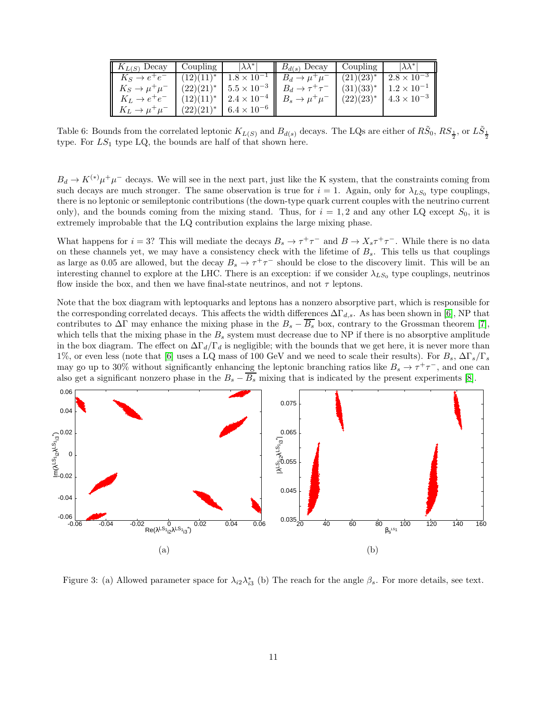| $K_{L(S)}$ Decay             | Coupling       | $\lambda \lambda^*$    | $B_{d(s)}$ Decay                                                                     | Coupling       | $ \lambda \lambda^* $                 |
|------------------------------|----------------|------------------------|--------------------------------------------------------------------------------------|----------------|---------------------------------------|
| $K_S \rightarrow e^+e^-$     | $(12)(11)^*$   |                        | $\boxed{1.8 \times 10^{-1}}$ $B_d \rightarrow \mu^+ \mu^-$                           | $(21)(23)^{*}$ | $2.8 \times \overline{10^{-3}}$       |
| $K_S \rightarrow \mu^+\mu^-$ | $(22)(21)^*$   |                        | $\parallel$ 5.5 $\times$ 10 <sup>-3</sup> $\parallel$ $B_d \rightarrow \tau^+\tau^-$ |                | $(31)(33)^{*}$   $1.2 \times 10^{-1}$ |
| $K_L \rightarrow e^+e^-$     | $(12)(11)^{*}$ |                        | $2.4 \times 10^{-4}$    $B_s \to \mu^+ \mu^-$                                        | $(22)(23)^{*}$ | $4.3 \times 10^{-3}$                  |
| $K_L \rightarrow \mu^+\mu^-$ | $(22)(21)^*$   | $6.4 \times 10^{-6}$ h |                                                                                      |                |                                       |

<span id="page-10-1"></span>Table 6: Bounds from the correlated leptonic  $K_{L(S)}$  and  $B_{d(s)}$  decays. The LQs are either of  $R\tilde{S}_0$ ,  $RS_{\frac{1}{2}}$ , or  $L\tilde{S}_{\frac{1}{2}}$ type. For  $LS_1$  type LQ, the bounds are half of that shown here.

 $B_d \to K^{(*)} \mu^+ \mu^-$  decays. We will see in the next part, just like the K system, that the constraints coming from such decays are much stronger. The same observation is true for  $i = 1$ . Again, only for  $\lambda_{LS_0}$  type couplings, there is no leptonic or semileptonic contributions (the down-type quark current couples with the neutrino current only), and the bounds coming from the mixing stand. Thus, for  $i = 1, 2$  and any other LQ except  $S_0$ , it is extremely improbable that the LQ contribution explains the large mixing phase.

What happens for  $i = 3$ ? This will mediate the decays  $B_s \to \tau^+ \tau^-$  and  $B \to X_s \tau^+ \tau^-$ . While there is no data on these channels yet, we may have a consistency check with the lifetime of  $B_s$ . This tells us that couplings as large as 0.05 are allowed, but the decay  $B_s \to \tau^+\tau^-$  should be close to the discovery limit. This will be an interesting channel to explore at the LHC. There is an exception: if we consider  $\lambda_{LS_0}$  type couplings, neutrinos flow inside the box, and then we have final-state neutrinos, and not  $\tau$  leptons.

Note that the box diagram with leptoquarks and leptons has a nonzero absorptive part, which is responsible for the corresponding correlated decays. This affects the width differences  $\Delta\Gamma_{d,s}$ . As has been shown in [\[6\]](#page-14-5), NP that contributes to  $\Delta\Gamma$  may enhance the mixing phase in the  $B_s - \overline{B_s}$  box, contrary to the Grossman theorem [\[7\]](#page-14-6), which tells that the mixing phase in the  $B_s$  system must decrease due to NP if there is no absorptive amplitude in the box diagram. The effect on  $\Delta \Gamma_d/\Gamma_d$  is negligible; with the bounds that we get here, it is never more than 1%, or even less (note that [\[6\]](#page-14-5) uses a LQ mass of 100 GeV and we need to scale their results). For  $B_s$ ,  $\Delta\Gamma_s/\Gamma_s$ may go up to 30% without significantly enhancing the leptonic branching ratios like  $B_s \to \tau^+\tau^-$ , and one can also get a significant nonzero phase in the  $B_s - B_s$  mixing that is indicated by the present experiments [\[8\]](#page-14-7).



<span id="page-10-0"></span>Figure 3: (a) Allowed parameter space for  $\lambda_{i2}\lambda_{i3}^*$  (b) The reach for the angle  $\beta_s$ . For more details, see text.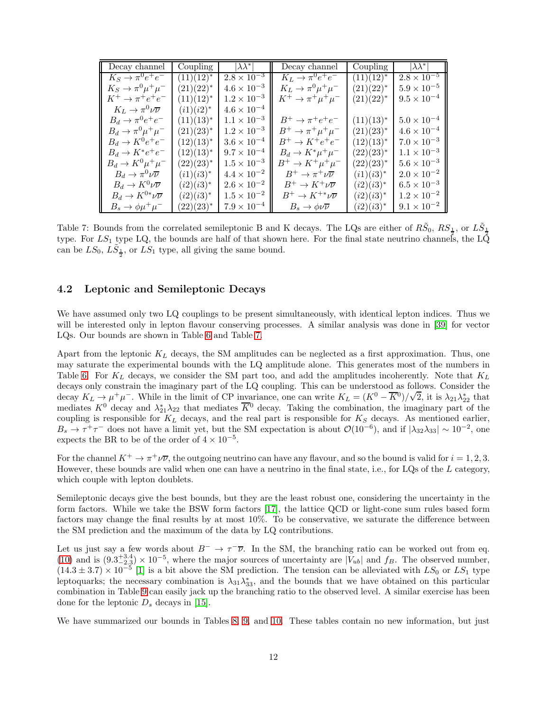| Decay channel                              | Coupling       | $ \lambda \lambda^* $ | Decay channel                       | Coupling       | $ \lambda \lambda^* $ |
|--------------------------------------------|----------------|-----------------------|-------------------------------------|----------------|-----------------------|
| $K_S \rightarrow \pi^0 e^+ e^-$            | $(11)(12)^{*}$ | $2.8 \times 10^{-3}$  | $K_L \rightarrow \pi^0 e^+ e^-$     | $(11)(12)^{*}$ | $2.8 \times 10^{-5}$  |
| $K_S \rightarrow \pi^0 \mu^+ \mu^-$        | $(21)(22)^{*}$ | $4.6 \times 10^{-3}$  | $K_L \rightarrow \pi^0 \mu^+ \mu^-$ | $(21)(22)^{*}$ | $5.9 \times 10^{-5}$  |
| $K^+ \rightarrow \pi^+ e^+ e^-$            | $(11)(12)^{*}$ | $1.2 \times 10^{-3}$  | $K^+ \rightarrow \pi^+ \mu^+ \mu^-$ | $(21)(22)^{*}$ | $9.5\times10^{-4}$    |
| $K_L \rightarrow \pi^0 \nu \overline{\nu}$ | $(i1)(i2)^*$   | $4.6 \times 10^{-4}$  |                                     |                |                       |
| $B_d \rightarrow \pi^0 e^+ e^-$            | $(11)(13)^{*}$ | $1.1 \times 10^{-3}$  | $B^+\to\pi^+e^+e^-$                 | $(11)(13)^*$   | $5.0 \times 10^{-4}$  |
| $B_d \rightarrow \pi^0 \mu^+ \mu^-$        | $(21)(23)^{*}$ | $1.2 \times 10^{-3}$  | $B^+\to\pi^+\mu^+\mu^-$             | $(21)(23)^{*}$ | $4.6 \times 10^{-4}$  |
| $B_d \rightarrow K^0 e^+ e^-$              | $(12)(13)^{*}$ | $3.6 \times 10^{-4}$  | $B^+ \rightarrow K^+e^+e^-$         | $(12)(13)^{*}$ | $7.0 \times 10^{-3}$  |
| $B_d \rightarrow K^* e^+ e^-$              | $(12)(13)^{*}$ | $9.7 \times 10^{-4}$  | $B_d \to K^* \mu^+ \mu^-$           | $(22)(23)^{*}$ | $1.1 \times 10^{-3}$  |
| $B_d \rightarrow K^0 \mu^+ \mu^-$          | $(22)(23)^{*}$ | $1.5 \times 10^{-3}$  | $B^+\to K^+\mu^+\mu^-$              | $(22)(23)^{*}$ | $5.6 \times 10^{-3}$  |
| $B_d \to \pi^0 \nu \overline{\nu}$         | $(i1)(i3)^{*}$ | $4.4 \times 10^{-2}$  | $B^+\to\pi^+\nu\overline{\nu}$      | $(i1)(i3)^{*}$ | $2.0 \times 10^{-2}$  |
| $B_d \to K^0 \nu \overline{\nu}$           | $(i2)(i3)^{*}$ | $2.6 \times 10^{-2}$  | $B^+\to K^+\nu\overline{\nu}$       | $(i2)(i3)^{*}$ | $6.5 \times 10^{-3}$  |
| $B_d \to K^{0*} \nu \overline{\nu}$        | $(i2)(i3)^{*}$ | $1.5 \times 10^{-2}$  | $B^+\to K^{+*}\nu\overline{\nu}$    | $(i2)(i3)^{*}$ | $1.2 \times 10^{-2}$  |
| $B_s \to \phi \mu^+ \mu^-$                 | $(22)(23)^{*}$ | $7.9 \times 10^{-4}$  | $B_s \to \phi \nu \overline{\nu}$   | $(i2)(i3)^{*}$ | $9.1 \times 10^{-2}$  |

<span id="page-11-0"></span>Table 7: Bounds from the correlated semileptonic B and K decays. The LQs are either of  $R\tilde{S}_0$ ,  $RS_{\frac{1}{2}}$ , or  $L\tilde{S}_{\frac{1}{2}}$ type. For  $LS_1$  type LQ, the bounds are half of that shown here. For the final state neutrino channels, the LQ can be  $LS_0$ ,  $L\tilde{S}_\frac{1}{2}$ , or  $LS_1$  type, all giving the same bound.

#### 4.2 Leptonic and Semileptonic Decays

We have assumed only two LQ couplings to be present simultaneously, with identical lepton indices. Thus we will be interested only in lepton flavour conserving processes. A similar analysis was done in [\[39\]](#page-15-12) for vector LQs. Our bounds are shown in Table [6](#page-10-1) and Table [7.](#page-11-0)

Apart from the leptonic  $K_L$  decays, the SM amplitudes can be neglected as a first approximation. Thus, one may saturate the experimental bounds with the LQ amplitude alone. This generates most of the numbers in Table [6.](#page-10-1) For  $K_L$  decays, we consider the SM part too, and add the amplitudes incoherently. Note that  $K_L$ decays only constrain the imaginary part of the LQ coupling. This can be understood as follows. Consider the decay  $K_L \to \mu^+ \mu^-$ . While in the limit of CP invariance, one can write  $K_L = (K^0 - \overline{K}^0)/\sqrt{2}$ , it is  $\lambda_{21} \lambda_{22}^*$  that mediates  $K^0$  decay and  $\lambda_{21}^*\lambda_{22}$  that mediates  $\overline{K}{}^0$  decay. Taking the combination, the imaginary part of the coupling is responsible for  $K_L$  decays, and the real part is responsible for  $K_S$  decays. As mentioned earlier,  $B_s \to \tau^+\tau^-$  does not have a limit yet, but the SM expectation is about  $\mathcal{O}(10^{-6})$ , and if  $|\lambda_{32}\lambda_{33}| \sim 10^{-2}$ , one expects the BR to be of the order of  $4 \times 10^{-5}$ .

For the channel  $K^+ \to \pi^+ \nu \overline{\nu}$ , the outgoing neutrino can have any flavour, and so the bound is valid for  $i = 1, 2, 3$ . However, these bounds are valid when one can have a neutrino in the final state, i.e., for LQs of the L category, which couple with lepton doublets.

Semileptonic decays give the best bounds, but they are the least robust one, considering the uncertainty in the form factors. While we take the BSW form factors [\[17\]](#page-14-16), the lattice QCD or light-cone sum rules based form factors may change the final results by at most 10%. To be conservative, we saturate the difference between the SM prediction and the maximum of the data by LQ contributions.

Let us just say a few words about  $B^- \to \tau^- \overline{\nu}$ . In the SM, the branching ratio can be worked out from eq. [\(10\)](#page-3-1) and is  $(9.3^{+3.4}_{-2.3}) \times 10^{-5}$ , where the major sources of uncertainty are  $|V_{ub}|$  and  $f_B$ . The observed number,  $(14.3 \pm 3.7) \times 10^{-5}$  [\[1\]](#page-14-0) is a bit above the SM prediction. The tension can be alleviated with  $LS_0$  or  $LS_1$  type leptoquarks; the necessary combination is  $\lambda_{31}\lambda_{33}^*$ , and the bounds that we have obtained on this particular combination in Table [9](#page-12-0) can easily jack up the branching ratio to the observed level. A similar exercise has been done for the leptonic  $D_s$  decays in [\[15\]](#page-14-13).

We have summarized our bounds in Tables [8,](#page-12-1) [9,](#page-12-0) and [10.](#page-13-0) These tables contain no new information, but just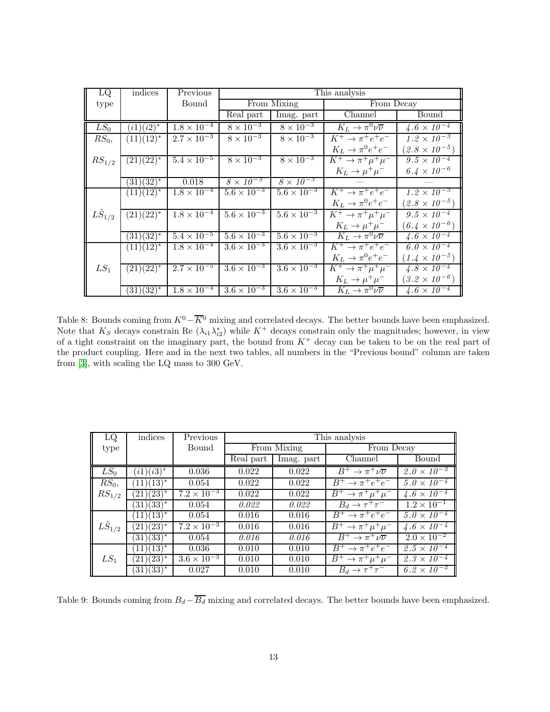| LQ                 | indices        | Previous             | This analysis        |                      |                                            |                             |  |
|--------------------|----------------|----------------------|----------------------|----------------------|--------------------------------------------|-----------------------------|--|
| type               |                | Bound                |                      | From Mixing          | From Decay                                 |                             |  |
|                    |                |                      | Real part            | Imag. part           | Channel                                    | Bound                       |  |
| $LS_0$             | $(i1)(i2)^*$   | $1.8 \times 10^{-4}$ | $8 \times 10^{-3}$   | $8 \times 10^{-3}$   | $K_L \rightarrow \pi^0 \nu \overline{\nu}$ | $4.6 \times 10^{-4}$        |  |
| $R\ddot{S}_0$ ,    | $(11)(12)^{*}$ | $2.7 \times 10^{-3}$ | $8 \times 10^{-3}$   | $8 \times 10^{-3}$   | $K^+ \rightarrow \pi^+ e^+ e^-$            | $1.2 \times 10^{-3}$        |  |
|                    |                |                      |                      |                      | $K_L \rightarrow \pi^0 e^+ e^-$            | $(2.8 \times 10^{-5})$      |  |
| $RS_{1/2}$         | $(21)(22)^{*}$ | $5.4 \times 10^{-5}$ | $8 \times 10^{-3}$   | $8 \times 10^{-3}$   | $K^+ \rightarrow \pi^+ \mu^+ \mu^-$        | $9.5 \times 10^{-4}$        |  |
|                    |                |                      |                      |                      | $K_L \rightarrow \mu^+ \mu^-$              | $6.4 \times 10^{-6}$        |  |
|                    | $(31)(32)^{*}$ | 0.018                | $8 \times 10^{-3}$   | $8 \times 10^{-3}$   |                                            |                             |  |
|                    | $(11)(12)^*$   | $1.8 \times 10^{-4}$ | $5.6 \times 10^{-3}$ | $5.6 \times 10^{-3}$ | $K^+ \rightarrow \pi^+ e^+ e^-$            | $1.2 \times 10^{-3}$        |  |
|                    |                |                      |                      |                      | $K_L \rightarrow \pi^0 e^+ e^-$            | $(2.8 \times 10^{-5})$      |  |
| $L\tilde{S}_{1/2}$ | $(21)(22)^*$   | $1.8 \times 10^{-4}$ | $5.6 \times 10^{-3}$ | $5.6 \times 10^{-3}$ | $K^+ \rightarrow \pi^+ \mu^+ \mu^-$        | $9.5 \times 10^{-4}$        |  |
|                    |                |                      |                      |                      | $K_L \rightarrow \mu^+ \mu^-$              | $(6.4 \times 10^{-6})$      |  |
|                    | $(31)(32)^{*}$ | $5.4\times10^{-5}$   | $5.6 \times 10^{-3}$ | $5.6 \times 10^{-3}$ | $K_L \rightarrow \pi^0 \nu \overline{\nu}$ | $\sqrt{4.6 \times 10^{-4}}$ |  |
|                    | $(11)(12)^{*}$ | $1.8 \times 10^{-4}$ | $3.6 \times 10^{-3}$ | $3.6 \times 10^{-3}$ | $K^+ \rightarrow \pi^+ e^+ e^-$            | $6.0 \times 10^{-4}$        |  |
|                    |                |                      |                      |                      | $K_L \rightarrow \pi^0 e^+ e^-$            | $(1.4 \times 10^{-5})$      |  |
| $LS_1$             | $(21)(22)^{*}$ | $2.7 \times 10^{-5}$ | $3.6 \times 10^{-3}$ | $3.6 \times 10^{-3}$ | $K^+ \rightarrow \pi^+ \mu^+ \mu^-$        | $4.8 \times 10^{-4}$        |  |
|                    |                |                      |                      |                      | $K_L \rightarrow \mu^+ \mu^-$              | $(3.2 \times 10^{-6})$      |  |
|                    | $(31)(32)^{*}$ | $1.8 \times 10^{-4}$ | $3.6 \times 10^{-3}$ | $3.6 \times 10^{-3}$ | $K_L \rightarrow \pi^0 \nu \overline{\nu}$ | $4.6 \times 10^{-4}$        |  |

<span id="page-12-1"></span>Table 8: Bounds coming from  $K^0 - \overline{K}^0$  mixing and correlated decays. The better bounds have been emphasized. Note that  $K_S$  decays constrain Re  $(\lambda_{i1}\lambda_{i2}^*)$  while  $K^+$  decays constrain only the magnitudes; however, in view of a tight constraint on the imaginary part, the bound from  $K^+$  decay can be taken to be on the real part of the product coupling. Here and in the next two tables, all numbers in the "Previous bound" column are taken from [\[3\]](#page-14-2), with scaling the LQ mass to 300 GeV.

| LQ                  | indices                    | Previous             | This analysis |             |                                |                      |  |
|---------------------|----------------------------|----------------------|---------------|-------------|--------------------------------|----------------------|--|
| type                |                            | Bound                |               | From Mixing | From Decay                     |                      |  |
|                     |                            |                      | Real part     | Imag. part  | Channel                        | Bound                |  |
| $LS_0$              | $(i1)(i3)^*$               | 0.036                | 0.022         | 0.022       | $B^+\to\pi^+\nu\overline{\nu}$ | $2.0 \times 10^{-2}$ |  |
| $RS_0$ ,            | $(13)^{*}$<br>$11^{\circ}$ | 0.054                | 0.022         | 0.022       | $B^+\to\pi^+e^+e^-$            | $5.0 \times 10^{-4}$ |  |
| $RS_{1/2}$          | $(23)^{*}$<br>21           | $7.2 \times 10^{-3}$ | 0.022         | 0.022       | $B^+\to\pi^+\mu^+\mu^-$        | $4.6 \times 10^{-4}$ |  |
|                     | $(31)(33)^{*}$             | 0.054                | 0.022         | 0.022       | $B_d \rightarrow \tau^+\tau^-$ | $1.2 \times 10^{-1}$ |  |
|                     | $(13)^{*}$<br>11)          | 0.054                | 0.016         | 0.016       | $B^+\to\pi^+e^+e^-$            | $5.0 \times 10^{-4}$ |  |
| $L \tilde{S}_{1/2}$ | $(23)^{*}$<br>(21)         | $7.2 \times 10^{-3}$ | 0.016         | 0.016       | $B^+\to\pi^+\mu^+\mu^-$        | $4.6 \times 10^{-4}$ |  |
|                     | $(31)(33)^{*}$             | 0.054                | 0.016         | 0.016       | $B^+\to\pi^+\nu\overline{\nu}$ | $2.0 \times 10^{-2}$ |  |
|                     | $(13)^{*}$<br>(11)         | 0.036                | 0.010         | 0.010       | $B^+\to\pi^+e^+e^-$            | $2.5 \times 10^{-4}$ |  |
| $LS_1$              | $(23)^{*}$<br>21)          | $3.6 \times 10^{-3}$ | 0.010         | 0.010       | $B^+\to\pi^+\mu^+\mu^-$        | $2.3 \times 10^{-4}$ |  |
|                     | $(31)(33)^{*}$             | 0.027                | 0.010         | 0.010       | $B_d \to \tau^+\tau^-$         | $6.2 \times 10^{-2}$ |  |

<span id="page-12-0"></span>Table 9: Bounds coming from  $B_d - \overline{B_d}$  mixing and correlated decays. The better bounds have been emphasized.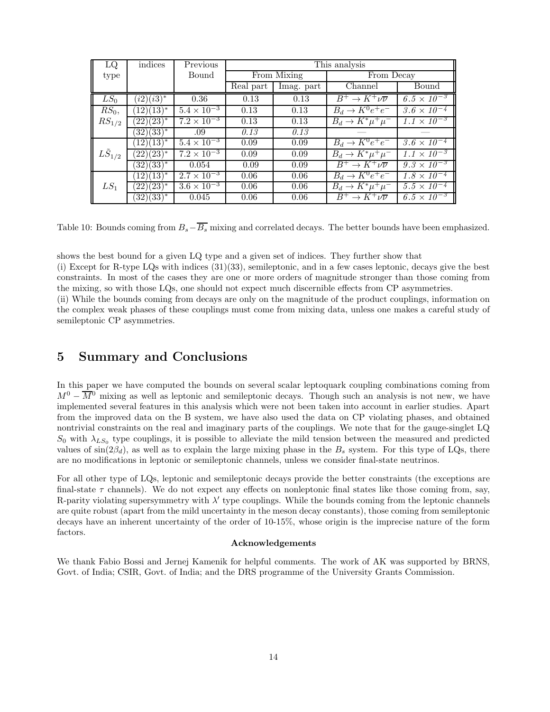| LQ                  | indices        | Previous             | This analysis |            |                                   |                      |
|---------------------|----------------|----------------------|---------------|------------|-----------------------------------|----------------------|
| type                |                | Bound                | From Mixing   |            | From Decay                        |                      |
|                     |                |                      | Real part     | Imag. part | Channel                           | Bound                |
| $LS_0$              | $(i2)(i3)^*$   | 0.36                 | 0.13          | 0.13       | $B^+\to K^+\nu\overline{\nu}$     | $6.5 \times 10^{-3}$ |
| $RS_0$ ,            | $(12)(13)^{*}$ | $5.4 \times 10^{-3}$ | 0.13          | 0.13       | $B_d \rightarrow K^0 e^+ e^-$     | $3.6 \times 10^{-4}$ |
| $RS_{1/2}$          | $(22)(23)^*$   | $7.2 \times 10^{-3}$ | 0.13          | 0.13       | $B_d \rightarrow K^* \mu^+ \mu^-$ | $1.1 \times 10^{-3}$ |
|                     | $(32)(33)^{*}$ | .09                  | 0.13          | 0.13       |                                   |                      |
|                     | $(12)(13)^{*}$ | $5.4 \times 10^{-3}$ | 0.09          | 0.09       | $B_d \rightarrow K^0 e^+ e^-$     | $3.6 \times 10^{-4}$ |
| $L \tilde{S}_{1/2}$ | $(22)(23)^{*}$ | $7.2 \times 10^{-3}$ | 0.09          | 0.09       | $B_d \rightarrow K^* \mu^+ \mu^-$ | $1.1 \times 10^{-3}$ |
|                     | $(32)(33)^{*}$ | 0.054                | 0.09          | 0.09       | $B^+\to K^+\nu\overline{\nu}$     | $9.3 \times 10^{-3}$ |
|                     | $(12)(13)^{*}$ | $2.7 \times 10^{-3}$ | 0.06          | 0.06       | $B_d \rightarrow K^0 e^+ e^-$     | $1.8 \times 10^{-4}$ |
| $LS_1$              | $(22)(23)^{*}$ | $3.6 \times 10^{-3}$ | 0.06          | 0.06       | $B_d \to K^* \mu^+ \mu^-$         | $5.5 \times 10^{-4}$ |
|                     | $(32)(33)^{*}$ | 0.045                | 0.06          | 0.06       | $B^+\to K^+\nu\overline{\nu}$     | $6.5 \times 10^{-3}$ |

<span id="page-13-0"></span>Table 10: Bounds coming from  $B_s-\overline{B_s}$  mixing and correlated decays. The better bounds have been emphasized.

shows the best bound for a given LQ type and a given set of indices. They further show that

(i) Except for R-type LQs with indices (31)(33), semileptonic, and in a few cases leptonic, decays give the best constraints. In most of the cases they are one or more orders of magnitude stronger than those coming from the mixing, so with those LQs, one should not expect much discernible effects from CP asymmetries.

(ii) While the bounds coming from decays are only on the magnitude of the product couplings, information on the complex weak phases of these couplings must come from mixing data, unless one makes a careful study of semileptonic CP asymmetries.

## 5 Summary and Conclusions

In this paper we have computed the bounds on several scalar leptoquark coupling combinations coming from  $M^0 - \overline{M}{}^0$  mixing as well as leptonic and semileptonic decays. Though such an analysis is not new, we have implemented several features in this analysis which were not been taken into account in earlier studies. Apart from the improved data on the B system, we have also used the data on CP violating phases, and obtained nontrivial constraints on the real and imaginary parts of the couplings. We note that for the gauge-singlet LQ  $S_0$  with  $\lambda_{LS_0}$  type couplings, it is possible to alleviate the mild tension between the measured and predicted values of  $sin(2\beta_d)$ , as well as to explain the large mixing phase in the  $B_s$  system. For this type of LQs, there are no modifications in leptonic or semileptonic channels, unless we consider final-state neutrinos.

For all other type of LQs, leptonic and semileptonic decays provide the better constraints (the exceptions are final-state  $\tau$  channels). We do not expect any effects on nonleptonic final states like those coming from, say, R-parity violating supersymmetry with  $\lambda'$  type couplings. While the bounds coming from the leptonic channels are quite robust (apart from the mild uncertainty in the meson decay constants), those coming from semileptonic decays have an inherent uncertainty of the order of 10-15%, whose origin is the imprecise nature of the form factors.

#### Acknowledgements

We thank Fabio Bossi and Jernej Kamenik for helpful comments. The work of AK was supported by BRNS, Govt. of India; CSIR, Govt. of India; and the DRS programme of the University Grants Commission.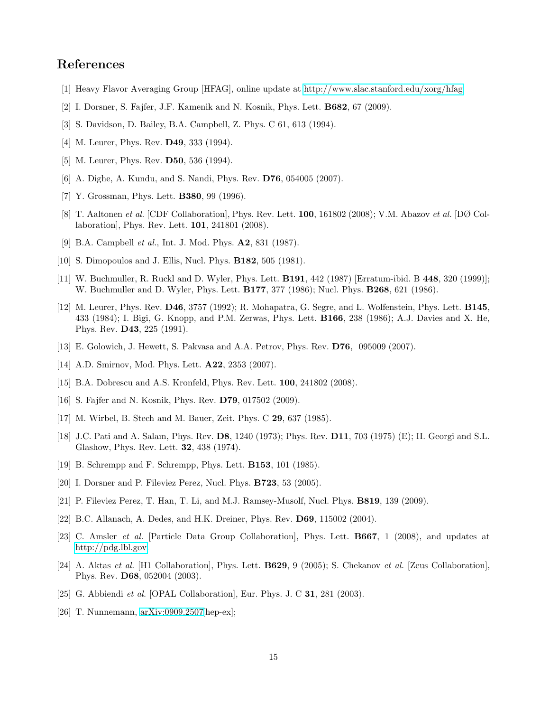# <span id="page-14-0"></span>References

- <span id="page-14-1"></span>[1] Heavy Flavor Averaging Group [HFAG], online update at [http://www.slac.stanford.edu/xorg/hfag.](http://www.slac.stanford.edu/xorg/hfag)
- <span id="page-14-2"></span>[2] I. Dorsner, S. Fajfer, J.F. Kamenik and N. Kosnik, Phys. Lett. B682, 67 (2009).
- <span id="page-14-3"></span>[3] S. Davidson, D. Bailey, B.A. Campbell, Z. Phys. C 61, 613 (1994).
- <span id="page-14-4"></span>[4] M. Leurer, Phys. Rev. **D49**, 333 (1994).
- <span id="page-14-5"></span>[5] M. Leurer, Phys. Rev. **D50**, 536 (1994).
- <span id="page-14-6"></span>[6] A. Dighe, A. Kundu, and S. Nandi, Phys. Rev. D76, 054005 (2007).
- <span id="page-14-7"></span>[7] Y. Grossman, Phys. Lett. B380, 99 (1996).
- [8] T. Aaltonen et al. [CDF Collaboration], Phys. Rev. Lett. 100, 161802 (2008); V.M. Abazov et al. [DØ Collaboration], Phys. Rev. Lett. 101, 241801 (2008).
- <span id="page-14-9"></span><span id="page-14-8"></span>[9] B.A. Campbell *et al.*, Int. J. Mod. Phys. **A2**, 831 (1987).
- <span id="page-14-10"></span>[10] S. Dimopoulos and J. Ellis, Nucl. Phys. **B182**, 505 (1981).
- [11] W. Buchmuller, R. Ruckl and D. Wyler, Phys. Lett. B191, 442 (1987) [Erratum-ibid. B 448, 320 (1999)]; W. Buchmuller and D. Wyler, Phys. Lett. B177, 377 (1986); Nucl. Phys. B268, 621 (1986).
- <span id="page-14-11"></span>[12] M. Leurer, Phys. Rev. D46, 3757 (1992); R. Mohapatra, G. Segre, and L. Wolfenstein, Phys. Lett. B145, 433 (1984); I. Bigi, G. Knopp, and P.M. Zerwas, Phys. Lett. B166, 238 (1986); A.J. Davies and X. He, Phys. Rev. D43, 225 (1991).
- <span id="page-14-15"></span><span id="page-14-12"></span>[13] E. Golowich, J. Hewett, S. Pakvasa and A.A. Petrov, Phys. Rev. D76, 095009 (2007).
- <span id="page-14-13"></span>[14] A.D. Smirnov, Mod. Phys. Lett. **A22**, 2353 (2007).
- <span id="page-14-14"></span>[15] B.A. Dobrescu and A.S. Kronfeld, Phys. Rev. Lett. **100**, 241802 (2008).
- <span id="page-14-16"></span>[16] S. Fajfer and N. Kosnik, Phys. Rev. D79, 017502 (2009).
- <span id="page-14-17"></span>[17] M. Wirbel, B. Stech and M. Bauer, Zeit. Phys. C 29, 637 (1985).
- [18] J.C. Pati and A. Salam, Phys. Rev. D8, 1240 (1973); Phys. Rev. D11, 703 (1975) (E); H. Georgi and S.L. Glashow, Phys. Rev. Lett. 32, 438 (1974).
- <span id="page-14-19"></span><span id="page-14-18"></span>[19] B. Schrempp and F. Schrempp, Phys. Lett. B153, 101 (1985).
- <span id="page-14-20"></span>[20] I. Dorsner and P. Fileviez Perez, Nucl. Phys. B723, 53 (2005).
- <span id="page-14-21"></span>[21] P. Fileviez Perez, T. Han, T. Li, and M.J. Ramsey-Musolf, Nucl. Phys. B819, 139 (2009).
- <span id="page-14-22"></span>[22] B.C. Allanach, A. Dedes, and H.K. Dreiner, Phys. Rev. D69, 115002 (2004).
- [23] C. Amsler et al. [Particle Data Group Collaboration], Phys. Lett. B667, 1 (2008), and updates at [http://pdg.lbl.gov.](http://pdg.lbl.gov)
- <span id="page-14-23"></span>[24] A. Aktas et al. [H1 Collaboration], Phys. Lett. B629, 9 (2005); S. Chekanov et al. [Zeus Collaboration], Phys. Rev. D68, 052004 (2003).
- <span id="page-14-25"></span><span id="page-14-24"></span>[25] G. Abbiendi et al. [OPAL Collaboration], Eur. Phys. J. C **31**, 281 (2003).
- [26] T. Nunnemann, [arXiv:0909.2507\[](http://arxiv.org/abs/0909.2507)hep-ex];